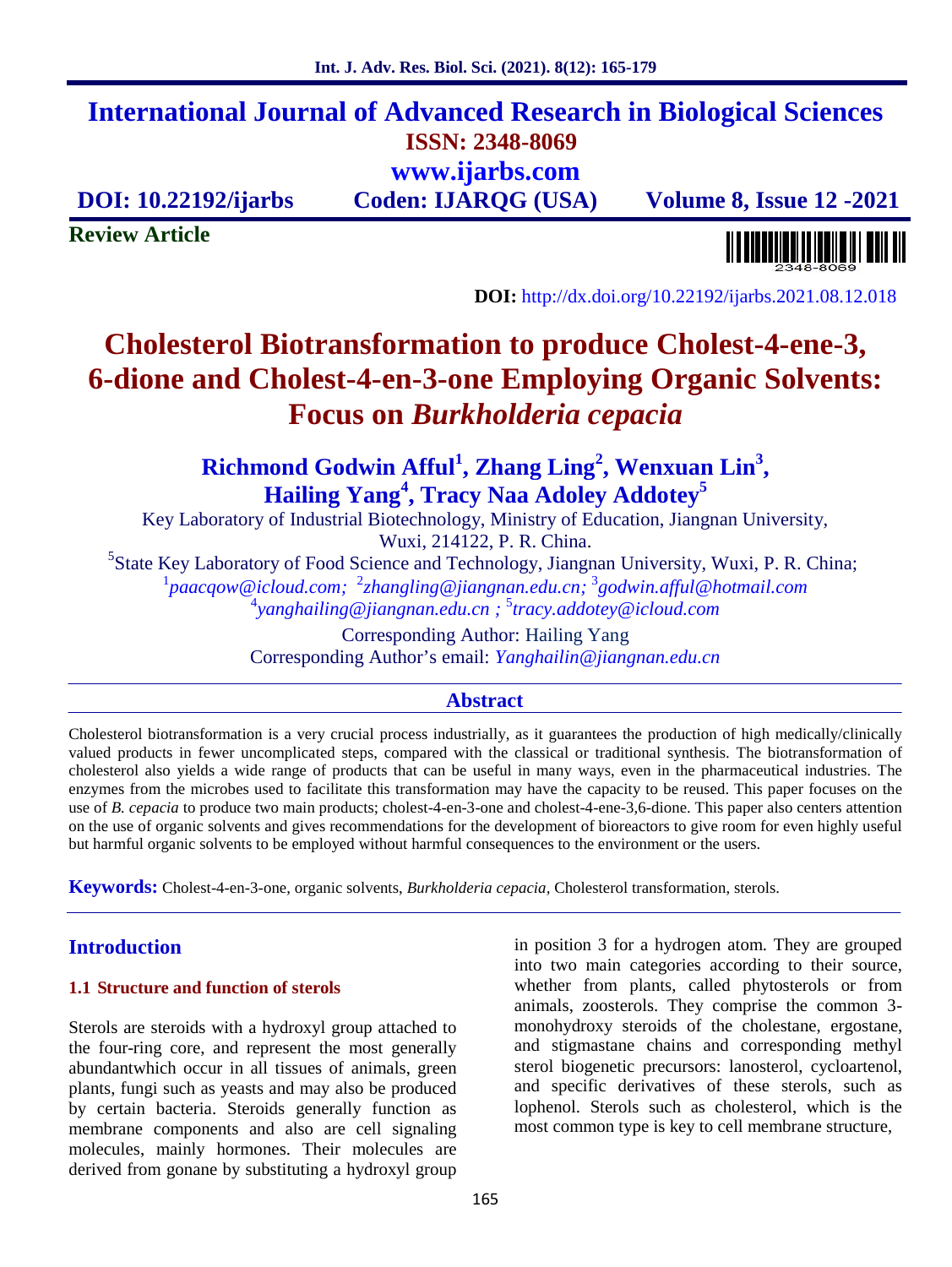# **International Journal of Advanced Research in Biological Sciences ISSN: 2348-8069 www.ijarbs.com**

**DOI: 10.22192/ijarbs Coden: IJARQG (USA) Volume 8, Issue 12 -2021**

**Review Article**

**DOI:** http://dx.doi.org/10.22192/ijarbs.2021.08.12.018

# **Cholesterol Biotransformation to produce Cholest-4-ene-3, 6-dione and Cholest-4-en-3-one Employing Organic Solvents: Focus on** *Burkholderia cepacia*

**Richmond Godwin Afful<sup>1</sup> , Zhang Ling<sup>2</sup> , Wenxuan Lin<sup>3</sup> , Hailing Yang<sup>4</sup> , Tracy Naa Adoley Addotey 5**

Key Laboratory of Industrial Biotechnology, Ministry of Education, Jiangnan University,

Wuxi, 214122, P. R. China.<br><sup>5</sup>State Key Laboratory of Food Science and Technology, Jiangnan University, Wuxi, P. R. China; <sup>1</sup>*paacqow@icloud.com;* <sup>2</sup>*zhangling@jiangnan.edu.cn;* <sup>3</sup>*godwin.afful@hotmail.com* <sup>4</sup>*yanghailing@jiangnan.edu.cn ;* 5 *tracy.addotey@icloud.com*

> Corresponding Author: Hailing Yang Corresponding Author's email: *Yanghailin@jiangnan.edu.cn*

# **Abstract**

Cholesterol biotransformation is a very crucial process industrially, as it guarantees the production of high medically/clinically valued products in fewer uncomplicated steps, compared with the classical or traditional synthesis. The biotransformation of cholesterol also yields a wide range of products that can be useful in many ways, even in the pharmaceutical industries. The enzymes from the microbes used to facilitate this transformation may have the capacity to be reused. This paper focuses on the use of *B. cepacia* to produce two main products; cholest-4-en-3-one and cholest-4-ene-3,6-dione. This paper also centers attention on the use of organic solvents and gives recommendations for the development of bioreactors to give room for even highly useful but harmful organic solvents to be employed without harmful consequences to the environment or the users.

**Keywords:** Cholest-4-en-3-one, organic solvents, *Burkholderia cepacia,* Cholesterol transformation, sterols.

# **Introduction**

#### **1.1 Structure and function of sterols**

Sterols are steroids with a hydroxyl group attached to the four-ring core, and represent the most generally abundantwhich occur in all tissues of animals, green plants, fungi such as yeasts and may also be produced by certain bacteria. Steroids generally function as membrane components and also are cell signaling molecules, mainly hormones. Their molecules are derived from gonane by substituting a hydroxyl group

in position 3 for a hydrogen atom. They are grouped into two main categories according to their source, whether from plants, called phytosterols or from animals, zoosterols. They comprise the common 3 monohydroxy steroids of the cholestane, ergostane, and stigmastane chains and corresponding methyl sterol biogenetic precursors: lanosterol, cycloartenol, and specific derivatives of these sterols, such as lophenol. Sterols such as cholesterol, which is the most common type is key to cell membrane structure,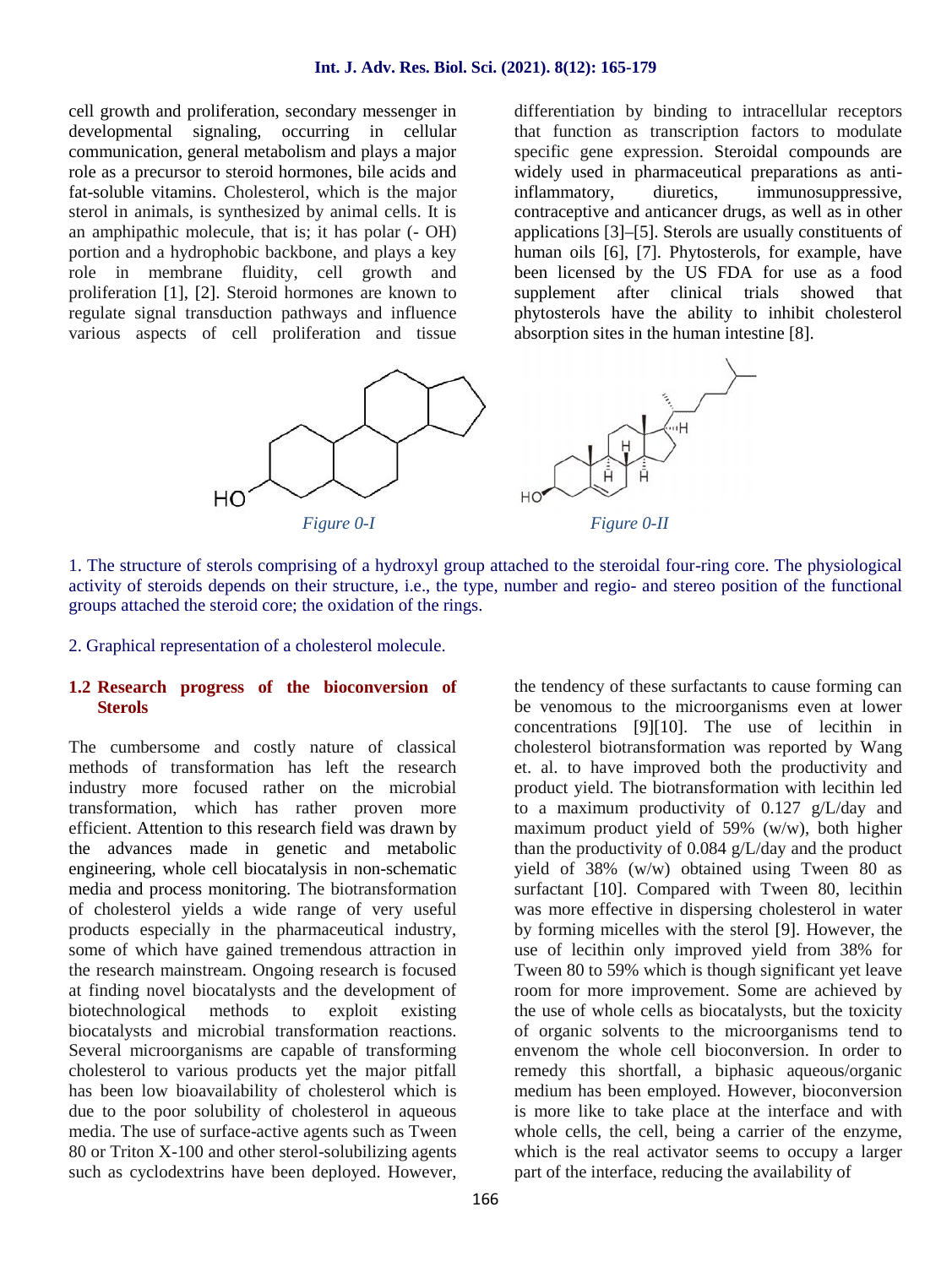#### **Int. J. Adv. Res. Biol. Sci. (2021). 8(12): 165-179**

cell growth and proliferation, secondary messenger in developmental signaling, occurring in cellular communication, general metabolism and plays a major role as a precursor to steroid hormones, bile acids and fat-soluble vitamins. Cholesterol, which is the major sterol in animals, is synthesized by animal cells. It is an amphipathic molecule, that is; it has polar (- OH) portion and a hydrophobic backbone, and plays a key role in membrane fluidity, cell growth and proliferation [1], [2]. Steroid hormones are known to regulate signal transduction pathways and influence various aspects of cell proliferation and tissue differentiation by binding to intracellular receptors that function as transcription factors to modulate specific gene expression. Steroidal compounds are widely used in pharmaceutical preparations as antiinflammatory, diuretics, immunosuppressive, contraceptive and anticancer drugs, as well as in other applications [3]–[5]. Sterols are usually constituents of human oils [6], [7]. Phytosterols, for example, have been licensed by the US FDA for use as a food supplement after clinical trials showed that phytosterols have the ability to inhibit cholesterol absorption sites in the human intestine [8].



1. The structure of sterols comprising of a hydroxyl group attached to the steroidal four-ring core. The physiological activity of steroids depends on their structure, i.e., the type, number and regio- and stereo position of the functional groups attached the steroid core; the oxidation of the rings.

2. Graphical representation of a cholesterol molecule.

### **1.2 Research progress of the bioconversion of Sterols**

The cumbersome and costly nature of classical methods of transformation has left the research industry more focused rather on the microbial transformation, which has rather proven more efficient. Attention to this research field was drawn by the advances made in genetic and metabolic engineering, whole cell biocatalysis in non-schematic media and process monitoring. The biotransformation of cholesterol yields a wide range of very useful products especially in the pharmaceutical industry, some of which have gained tremendous attraction in the research mainstream. Ongoing research is focused at finding novel biocatalysts and the development of biotechnological methods to exploit existing biocatalysts and microbial transformation reactions. Several microorganisms are capable of transforming cholesterol to various products yet the major pitfall has been low bioavailability of cholesterol which is due to the poor solubility of cholesterol in aqueous media. The use of surface-active agents such as Tween 80 or Triton X-100 and other sterol-solubilizing agents such as cyclodextrins have been deployed. However,

the tendency of these surfactants to cause forming can be venomous to the microorganisms even at lower concentrations [9][10]. The use of lecithin in cholesterol biotransformation was reported by Wang et. al. to have improved both the productivity and product yield. The biotransformation with lecithin led to a maximum productivity of 0.127 g/L/day and maximum product yield of 59% (w/w), both higher than the productivity of 0.084 g/L/day and the product yield of 38% (w/w) obtained using Tween 80 as surfactant [10]. Compared with Tween 80, lecithin was more effective in dispersing cholesterol in water by forming micelles with the sterol [9]. However, the use of lecithin only improved yield from 38% for Tween 80 to 59% which is though significant yet leave room for more improvement. Some are achieved by the use of whole cells as biocatalysts, but the toxicity of organic solvents to the microorganisms tend to envenom the whole cell bioconversion. In order to remedy this shortfall, a biphasic aqueous/organic medium has been employed. However, bioconversion is more like to take place at the interface and with whole cells, the cell, being a carrier of the enzyme, which is the real activator seems to occupy a larger part of the interface, reducing the availability of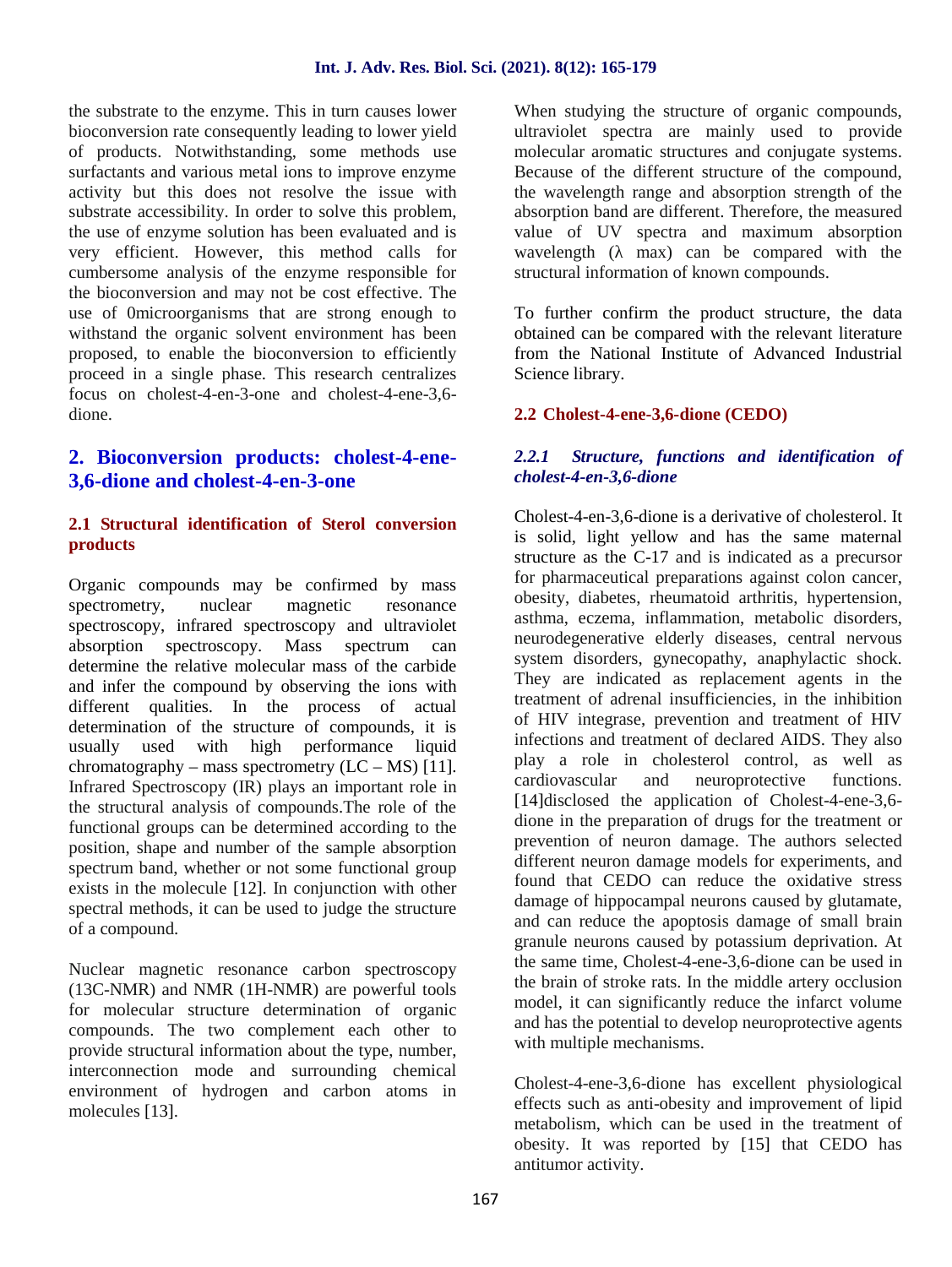the substrate to the enzyme. This in turn causes lower bioconversion rate consequently leading to lower yield of products. Notwithstanding, some methods use surfactants and various metal ions to improve enzyme activity but this does not resolve the issue with substrate accessibility. In order to solve this problem, the use of enzyme solution has been evaluated and is very efficient. However, this method calls for cumbersome analysis of the enzyme responsible for the bioconversion and may not be cost effective. The use of 0microorganisms that are strong enough to withstand the organic solvent environment has been proposed, to enable the bioconversion to efficiently proceed in a single phase. This research centralizes focus on cholest-4-en-3-one and cholest-4-ene-3,6 dione.

# **2. Bioconversion products: cholest-4-ene- 3,6-dione and cholest-4-en-3-one**

# **2.1 Structural identification of Sterol conversion products**

Organic compounds may be confirmed by mass spectrometry, nuclear magnetic resonance spectroscopy, infrared spectroscopy and ultraviolet absorption spectroscopy. Mass spectrum can determine the relative molecular mass of the carbide and infer the compound by observing the ions with different qualities. In the process of actual determination of the structure of compounds, it is usually used with high performance liquid chromatography – mass spectrometry  $(LC - MS)$  [11]. Infrared Spectroscopy (IR) plays an important role in cardiovascular the structural analysis of compounds.The role of the functional groups can be determined according to the position, shape and number of the sample absorption spectrum band, whether or not some functional group exists in the molecule [12]. In conjunction with other spectral methods, it can be used to judge the structure of a compound.

Nuclear magnetic resonance carbon spectroscopy (13C-NMR) and NMR (1H-NMR) are powerful tools for molecular structure determination of organic compounds. The two complement each other to provide structural information about the type, number, interconnection mode and surrounding chemical environment of hydrogen and carbon atoms in molecules [13].

When studying the structure of organic compounds, ultraviolet spectra are mainly used to provide molecular aromatic structures and conjugate systems. Because of the different structure of the compound, the wavelength range and absorption strength of the absorption band are different. Therefore, the measured value of UV spectra and maximum absorption wavelength  $($  max) can be compared with the structural information of known compounds.

To further confirm the product structure, the data obtained can be compared with the relevant literature from the National Institute of Advanced Industrial Science library.

# **2.2 Cholest-4-ene-3,6-dione (CEDO)**

# *2.2.1 Structure, functions and identification of cholest-4-en-3,6-dione*

Cholest-4-en-3,6-dione is a derivative of cholesterol. It is solid, light yellow and has the same maternal structure as the C-17 and is indicated as a precursor for pharmaceutical preparations against colon cancer, obesity, diabetes, rheumatoid arthritis, hypertension, asthma, eczema, inflammation, metabolic disorders, neurodegenerative elderly diseases, central nervous system disorders, gynecopathy, anaphylactic shock. They are indicated as replacement agents in the treatment of adrenal insufficiencies, in the inhibition of HIV integrase, prevention and treatment of HIV infections and treatment of declared AIDS. They also play a role in cholesterol control, as well as and neuroprotective functions. [14]disclosed the application of Cholest-4-ene-3,6 dione in the preparation of drugs for the treatment or prevention of neuron damage. The authors selected different neuron damage models for experiments, and found that CEDO can reduce the oxidative stress damage of hippocampal neurons caused by glutamate, and can reduce the apoptosis damage of small brain granule neurons caused by potassium deprivation. At the same time, Cholest-4-ene-3,6-dione can be used in the brain of stroke rats. In the middle artery occlusion model, it can significantly reduce the infarct volume and has the potential to develop neuroprotective agents with multiple mechanisms.

Cholest-4-ene-3,6-dione has excellent physiological effects such as anti-obesity and improvement of lipid metabolism, which can be used in the treatment of obesity. It was reported by [15] that CEDO has antitumor activity.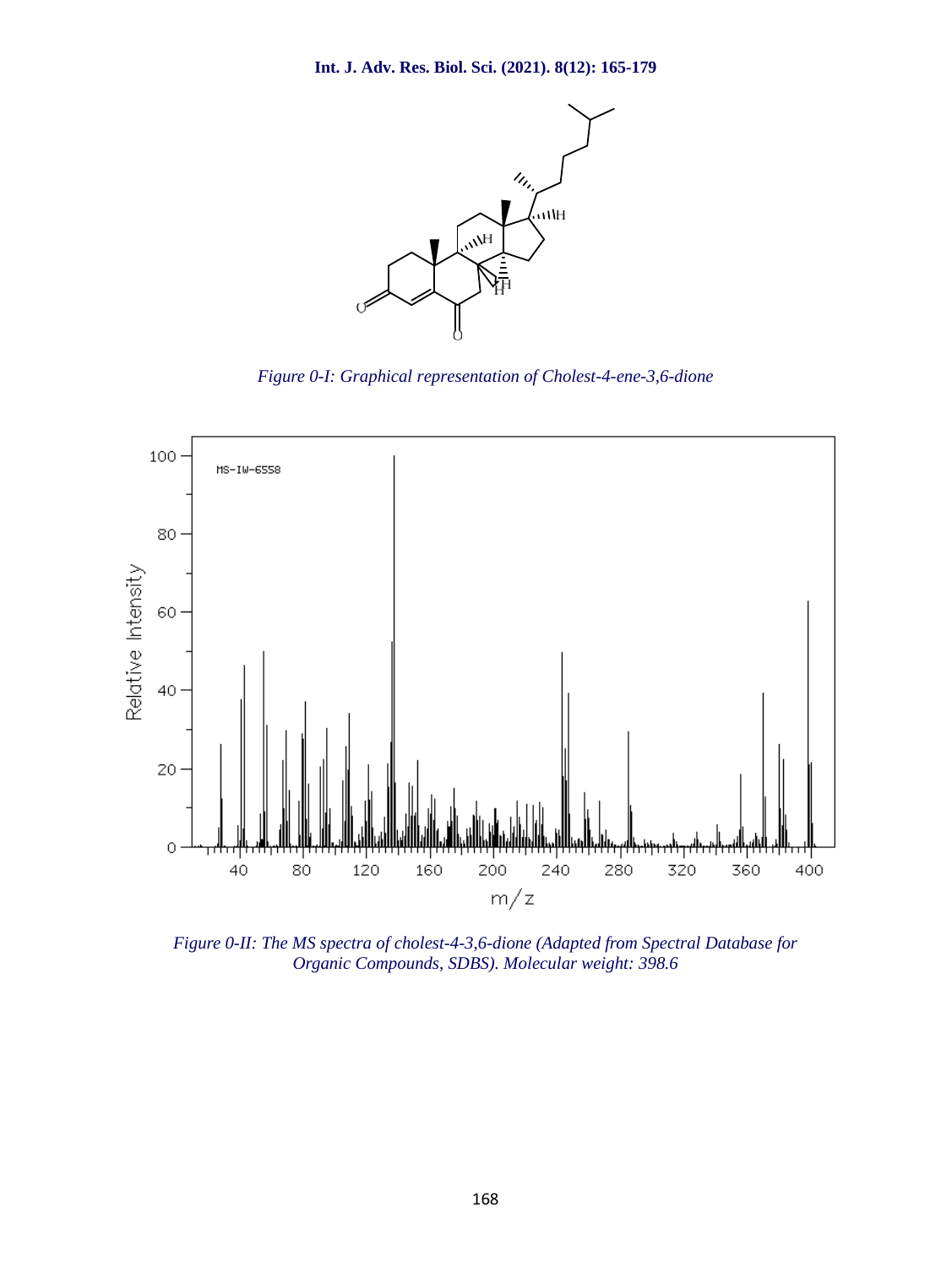

*Figure 0-I: Graphical representation of Cholest-4-ene-3,6-dione*



*Figure 0-II: The MS spectra of cholest-4-3,6-dione (Adapted from Spectral Database for Organic Compounds, SDBS). Molecular weight: 398.6*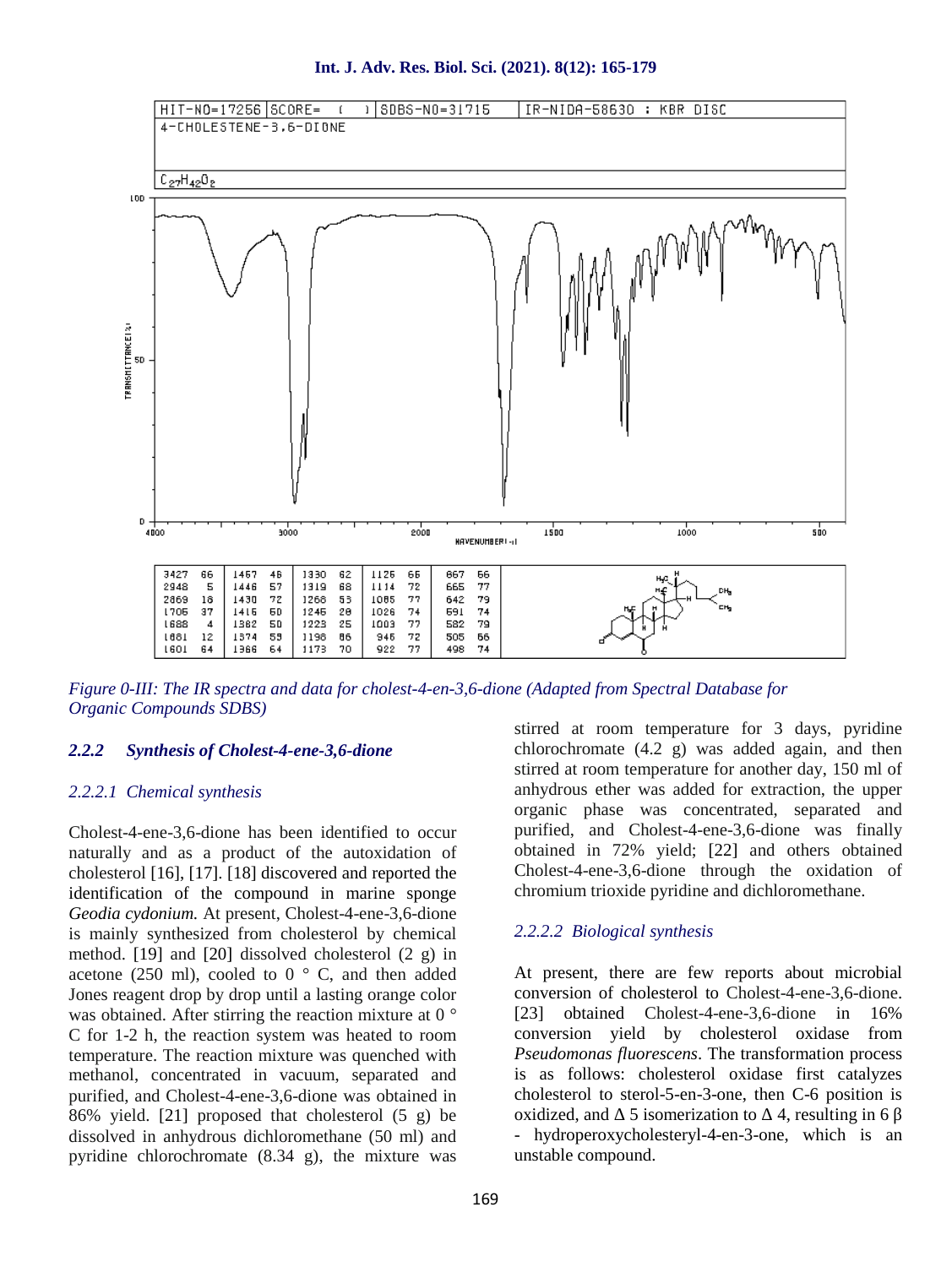



*Figure 0-III: The IR spectra and data for cholest-4-en-3,6-dione (Adapted from Spectral Database for Organic Compounds SDBS)*

# *2.2.2 Synthesis of Cholest-4-ene-3,6-dione*

#### *2.2.2.1 Chemical synthesis*

Cholest-4-ene-3,6-dione has been identified to occur naturally and as a product of the autoxidation of cholesterol [16], [17]. [18] discovered and reported the identification of the compound in marine sponge *Geodia cydonium.* At present, Cholest-4-ene-3,6-dione is mainly synthesized from cholesterol by chemical method. [19] and [20] dissolved cholesterol (2 g) in acetone (250 ml), cooled to  $0 \degree$  C, and then added Jones reagent drop by drop until a lasting orange color was obtained. After stirring the reaction mixture at 0 ° C for 1-2 h, the reaction system was heated to room temperature. The reaction mixture was quenched with methanol, concentrated in vacuum, separated and purified, and Cholest-4-ene-3,6-dione was obtained in 86% yield. [21] proposed that cholesterol (5 g) be dissolved in anhydrous dichloromethane (50 ml) and pyridine chlorochromate (8.34 g), the mixture was stirred at room temperature for 3 days, pyridine chlorochromate (4.2 g) was added again, and then stirred at room temperature for another day, 150 ml of anhydrous ether was added for extraction, the upper organic phase was concentrated, separated and purified, and Cholest-4-ene-3,6-dione was finally obtained in 72% yield; [22] and others obtained Cholest-4-ene-3,6-dione through the oxidation of chromium trioxide pyridine and dichloromethane.

# *2.2.2.2 Biological synthesis*

At present, there are few reports about microbial conversion of cholesterol to Cholest-4-ene-3,6-dione. [23] obtained Cholest-4-ene-3,6-dione in 16% conversion yield by cholesterol oxidase from *Pseudomonas fluorescens*. The transformation process is as follows: cholesterol oxidase first catalyzes cholesterol to sterol-5-en-3-one, then C-6 position is oxidized, and  $\overline{5}$  isomerization to  $\overline{4}$ , resulting in 6 - hydroperoxycholesteryl-4-en-3-one, which is an unstable compound.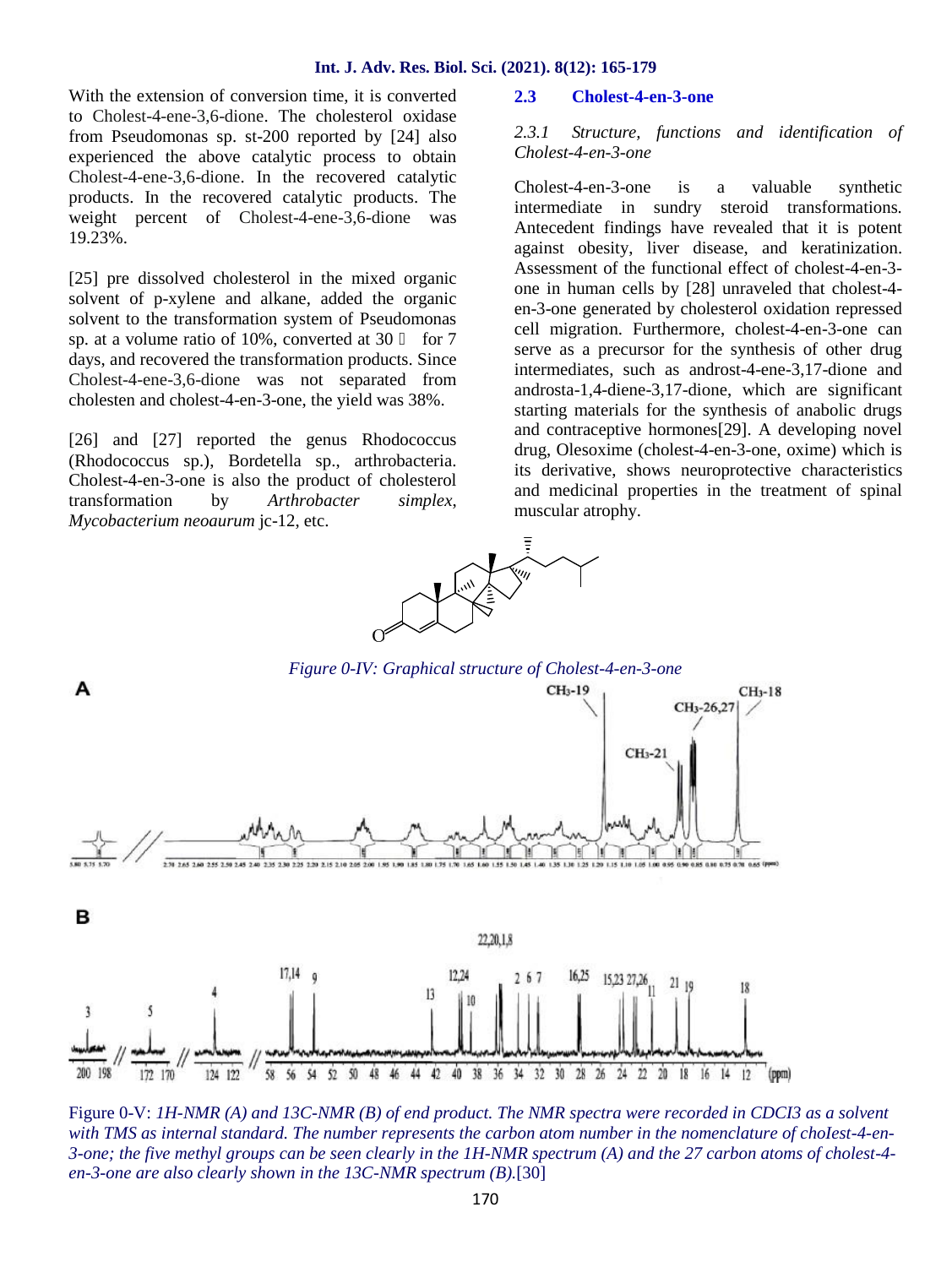With the extension of conversion time, it is converted 2.3 to Cholest-4-ene-3,6-dione. The cholesterol oxidase<br>from Pseudomonas sp. st-200 reported by [241 also  $2.3.1$ ] from Pseudomonas sp. st-200 reported by [24] also experienced the above catalytic process to obtain Cholest-4-ene-3,6-dione. In the recovered catalytic products. In the recovered catalytic products. The weight percent of Cholest-4-ene-3,6-dione was 19.23%.

[25] pre dissolved cholesterol in the mixed organic solvent of p-xylene and alkane, added the organic solvent to the transformation system of Pseudomonas sp. at a volume ratio of  $10\%$ , converted at  $30$  for  $7$ days, and recovered the transformation products. Since Cholest-4-ene-3,6-dione was not separated from cholesten and cholest-4-en-3-one, the yield was 38%.

[26] and [27] reported the genus Rhodococcus (Rhodococcus sp.), Bordetella sp., arthrobacteria. Cholest-4-en-3-one is also the product of cholesterol transformation by *Arthrobacter simplex*, *Mycobacterium neoaurum* jc-12, etc.

### **2.3 Cholest-4-en-3-one**

*2.3.1 Structure, functions and identification of Cholest-4-en-3-one*

Cholest-4-en-3-one is a valuable synthetic intermediate in sundry steroid transformations. Antecedent findings have revealed that it is potent against obesity, liver disease, and keratinization. Assessment of the functional effect of cholest-4-en-3 one in human cells by [28] unraveled that cholest-4 en-3-one generated by cholesterol oxidation repressed cell migration. Furthermore, cholest-4-en-3-one can serve as a precursor for the synthesis of other drug intermediates, such as androst-4-ene-3,17-dione and androsta-1,4-diene-3,17-dione, which are significant starting materials for the synthesis of anabolic drugs and contraceptive hormones[29]. A developing novel drug, Olesoxime (cholest-4-en-3-one, oxime) which is its derivative, shows neuroprotective characteristics and medicinal properties in the treatment of spinal muscular atrophy.



Figure 0-V: *1H-NMR (A) and 13C-NMR (B) of end product. The NMR spectra were recorded in CDCI3 as a solvent with TMS as internal standard. The number represents the carbon atom number in the nomenclature of choIest-4-en- 3-one; the five methyl groups can be seen clearly in the 1H-NMR spectrum (A) and the 27 carbon atoms of cholest-4 en-3-one are also clearly shown in the 13C-NMR spectrum (B).*[30]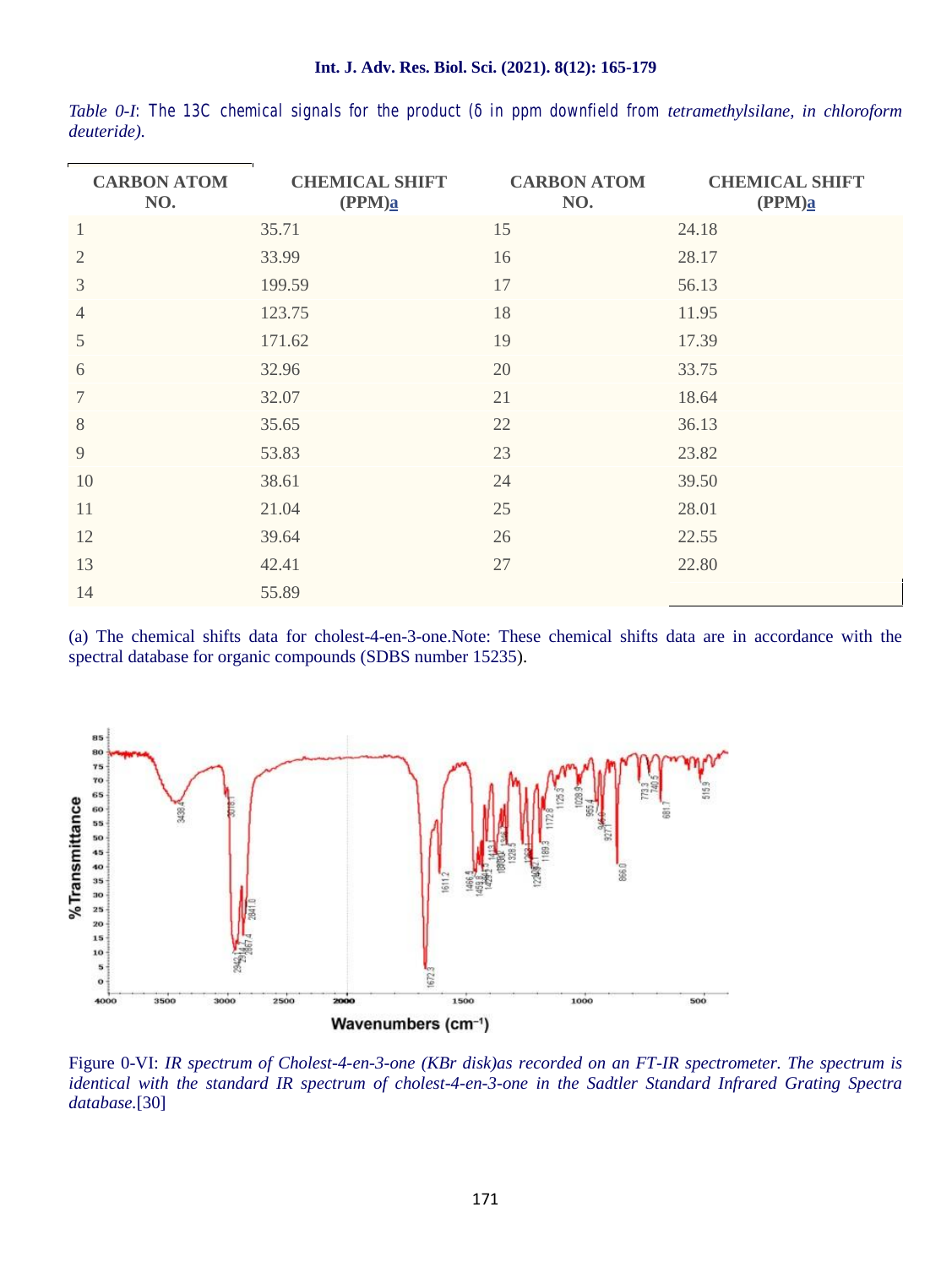| <b>CARBON ATOM</b><br>NO. | <b>CHEMICAL SHIFT</b><br>(PPM) <sub>a</sub> | <b>CARBON ATOM</b><br>NO. | <b>CHEMICAL SHIFT</b><br>(PPM) <sub>a</sub> |
|---------------------------|---------------------------------------------|---------------------------|---------------------------------------------|
| $\,1$                     | 35.71                                       | 15                        | 24.18                                       |
| $\overline{2}$            | 33.99                                       | 16                        | 28.17                                       |
| $\mathfrak{Z}$            | 199.59                                      | 17                        | 56.13                                       |
| $\overline{4}$            | 123.75                                      | 18                        | 11.95                                       |
| 5                         | 171.62                                      | 19                        | 17.39                                       |
| 6                         | 32.96                                       | 20                        | 33.75                                       |
| $\overline{7}$            | 32.07                                       | 21                        | 18.64                                       |
| 8                         | 35.65                                       | 22                        | 36.13                                       |
| 9                         | 53.83                                       | 23                        | 23.82                                       |
| 10                        | 38.61                                       | 24                        | 39.50                                       |
| 11                        | 21.04                                       | 25                        | 28.01                                       |
| 12                        | 39.64                                       | 26                        | 22.55                                       |
| 13                        | 42.41                                       | 27                        | 22.80                                       |
| 14                        | 55.89                                       |                           |                                             |

*Table* 0-I: The 13C chemical signals for the product (in ppm downfield from tetramethylsilane, in chloroform *deuteride).*

(a) The chemical shifts data for cholest-4-en-3-one.Note: These chemical shifts data are in accordance with the spectral database for organic compounds (SDBS number 15235).



Figure 0-VI: *IR spectrum of Cholest-4-en-3-one (KBr disk)as recorded on an FT-IR spectrometer. The spectrum is identical with the standard IR spectrum of cholest-4-en-3-one in the Sadtler Standard Infrared Grating Spectra database.*[30]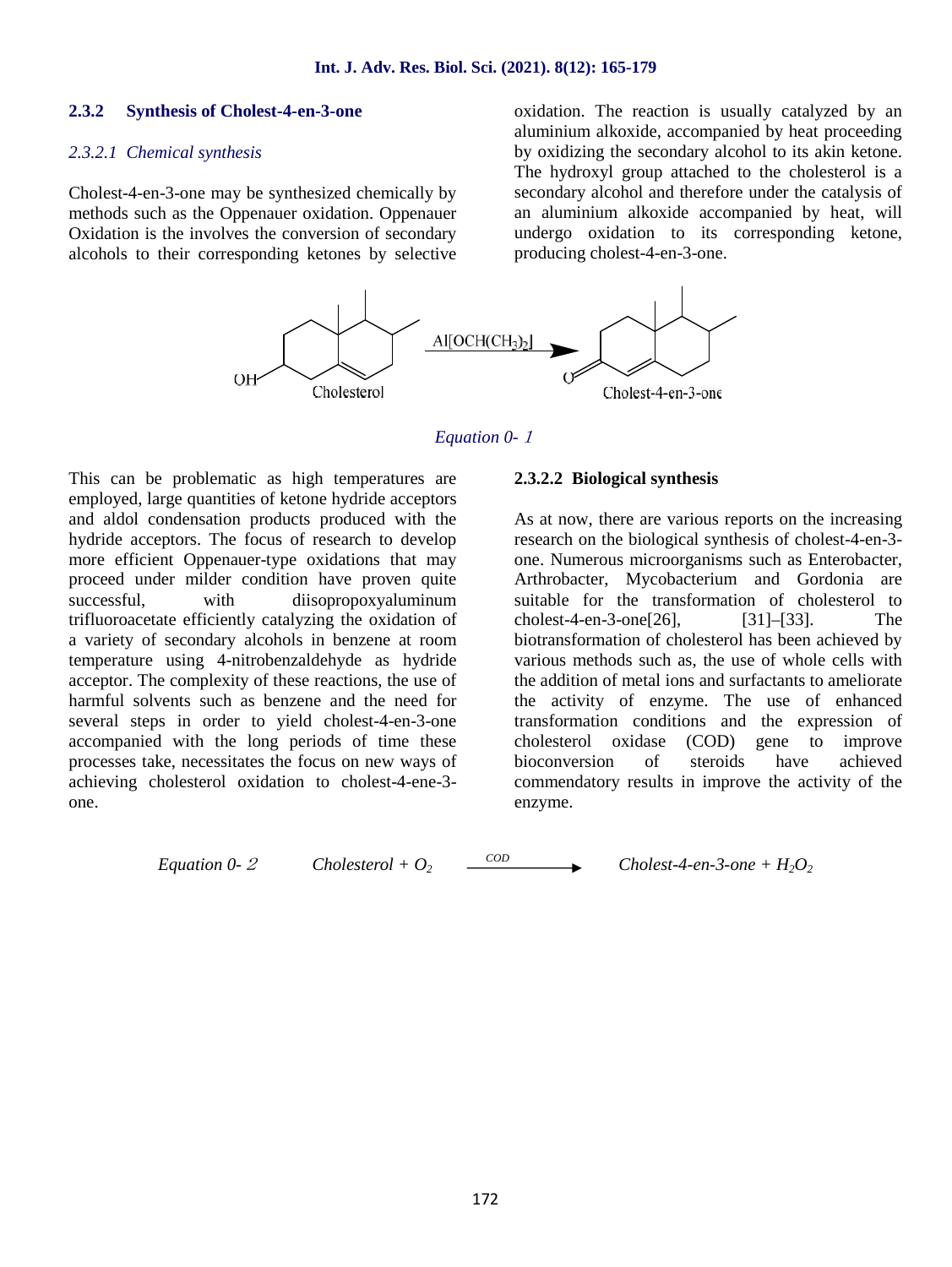#### **2.3.2 Synthesis of Cholest-4-en-3-one**

#### *2.3.2.1 Chemical synthesis*

Cholest-4-en-3-one may be synthesized chemically by methods such as the Oppenauer oxidation. Oppenauer Oxidation is the involves the conversion of secondary alcohols to their corresponding ketones by selective oxidation. The reaction is usually catalyzed by an aluminium alkoxide, accompanied by heat proceeding by oxidizing the secondary alcohol to its akin ketone. The hydroxyl group attached to the cholesterol is a secondary alcohol and therefore under the catalysis of an aluminium alkoxide accompanied by heat, will undergo oxidation to its corresponding ketone, producing cholest-4-en-3-one.



#### *Equation 0-<sup>1</sup>*

This can be problematic as high temperatures are employed, large quantities of ketone hydride acceptors and aldol condensation products produced with the hydride acceptors. The focus of research to develop more efficient Oppenauer-type oxidations that may proceed under milder condition have proven quite successful, with diisopropoxyaluminum trifluoroacetate efficiently catalyzing the oxidation of a variety of secondary alcohols in benzene at room temperature using 4-nitrobenzaldehyde as hydride acceptor. The complexity of these reactions, the use of harmful solvents such as benzene and the need for several steps in order to yield cholest-4-en-3-one accompanied with the long periods of time these processes take, necessitates the focus on new ways of achieving cholesterol oxidation to cholest-4-ene-3 one.

#### **2.3.2.2 Biological synthesis**

As at now, there are various reports on the increasing research on the biological synthesis of cholest-4-en-3 one. Numerous microorganisms such as Enterobacter, Arthrobacter, Mycobacterium and Gordonia are suitable for the transformation of cholesterol to cholest-4-en-3-one[26], [31]–[33]. The biotransformation of cholesterol has been achieved by various methods such as, the use of whole cells with the addition of metal ions and surfactants to ameliorate the activity of enzyme. The use of enhanced transformation conditions and the expression of cholesterol oxidase (COD) gene to improve bioconversion of steroids have achieved commendatory results in improve the activity of the enzyme.

*Equation 0-<sup>2</sup> Cholesterol + O<sup>2</sup>*

 $\longrightarrow$  *Cholest-4-en-3-one + H<sub>2</sub>O<sub>2</sub></sup>*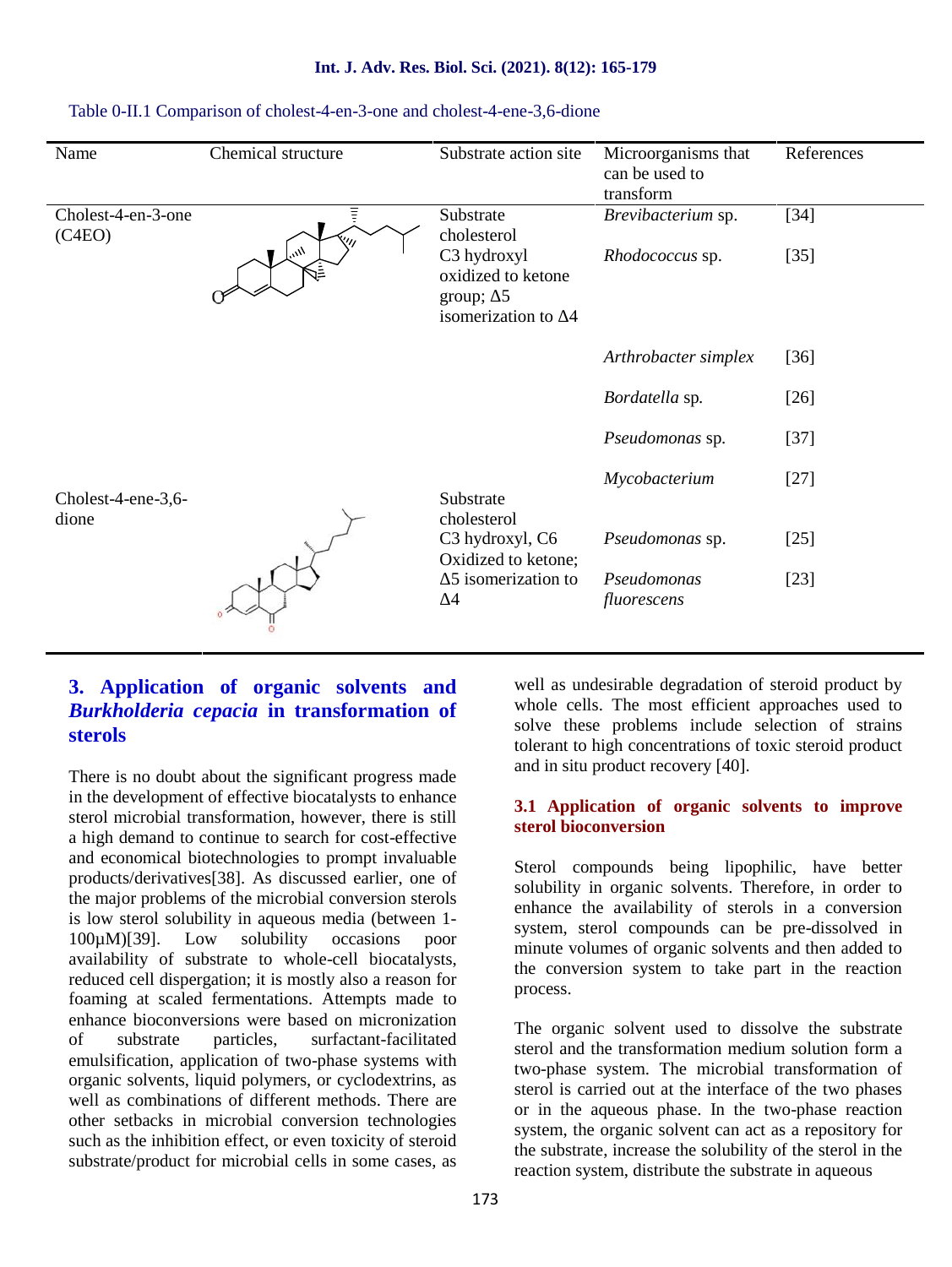| Name                         | Chemical structure                  | Substrate action site                                                                             | Microorganisms that<br>can be used to<br>transform | References       |
|------------------------------|-------------------------------------|---------------------------------------------------------------------------------------------------|----------------------------------------------------|------------------|
| Cholest-4-en-3-one<br>(C4EO) | $\eta_{\ell_{\ell_{\ell}}}$<br>ર્િ≣ | Substrate<br>cholesterol<br>C3 hydroxyl<br>oxidized to ketone<br>group; $5$<br>isomerization to 4 | Brevibacterium sp.<br>Rhodococcus sp.              | $[34]$<br>$[35]$ |
|                              |                                     |                                                                                                   | Arthrobacter simplex                               | $[36]$           |
|                              |                                     |                                                                                                   | Bordatella sp.                                     | $[26]$           |
|                              |                                     |                                                                                                   | Pseudomonas sp.                                    | $[37]$           |
| Cholest-4-ene-3,6-<br>dione  |                                     | Substrate<br>cholesterol                                                                          | Mycobacterium                                      | $[27]$           |
|                              |                                     | C <sub>3</sub> hydroxyl, C <sub>6</sub><br>Oxidized to ketone;                                    | Pseudomonas sp.                                    | $[25]$           |
|                              |                                     | 5 isomerization to<br>4                                                                           | Pseudomonas<br>fluorescens                         | $[23]$           |

# **Int. J. Adv. Res. Biol. Sci. (2021). 8(12): 165-179**

|                             |                                                                | Arthrobacter simplex       | $[36]$ |
|-----------------------------|----------------------------------------------------------------|----------------------------|--------|
|                             |                                                                | Bordatella sp.             | $[26]$ |
|                             |                                                                | Pseudomonas sp.            | $[37]$ |
| Cholest-4-ene-3,6-<br>dione | Substrate<br>cholesterol                                       | Mycobacterium              | $[27]$ |
|                             | C <sub>3</sub> hydroxyl, C <sub>6</sub><br>Oxidized to ketone; | Pseudomonas sp.            | $[25]$ |
|                             | 5 isomerization to<br>4                                        | Pseudomonas<br>fluorescens | $[23]$ |
|                             |                                                                |                            |        |

### Table 0-II.1 Comparison of cholest-4-en-3-one and cholest-4-ene-3,6-dione

# **3. Application of organic solvents and** *Burkholderia cepacia* **in transformation of sterols**

There is no doubt about the significant progress made in the development of effective biocatalysts to enhance sterol microbial transformation, however, there is still a high demand to continue to search for cost-effective and economical biotechnologies to prompt invaluable products/derivatives[38]. As discussed earlier, one of the major problems of the microbial conversion sterols is low sterol solubility in aqueous media (between 1- 100µM)[39]. Low solubility occasions poor availability of substrate to whole-cell biocatalysts, reduced cell dispergation; it is mostly also a reason for foaming at scaled fermentations. Attempts made to enhance bioconversions were based on micronization of substrate particles, surfactant-facilitated emulsification, application of two-phase systems with organic solvents, liquid polymers, or cyclodextrins, as well as combinations of different methods. There are other setbacks in microbial conversion technologies such as the inhibition effect, or even toxicity of steroid substrate/product for microbial cells in some cases, as

well as undesirable degradation of steroid product by whole cells. The most efficient approaches used to solve these problems include selection of strains tolerant to high concentrations of toxic steroid product and in situ product recovery [40].

# **3.1 Application of organic solvents to improve sterol bioconversion**

Sterol compounds being lipophilic, have better solubility in organic solvents. Therefore, in order to enhance the availability of sterols in a conversion system, sterol compounds can be pre-dissolved in minute volumes of organic solvents and then added to the conversion system to take part in the reaction process.

The organic solvent used to dissolve the substrate sterol and the transformation medium solution form a two-phase system. The microbial transformation of sterol is carried out at the interface of the two phases or in the aqueous phase. In the two-phase reaction system, the organic solvent can act as a repository for the substrate, increase the solubility of the sterol in the reaction system, distribute the substrate in aqueous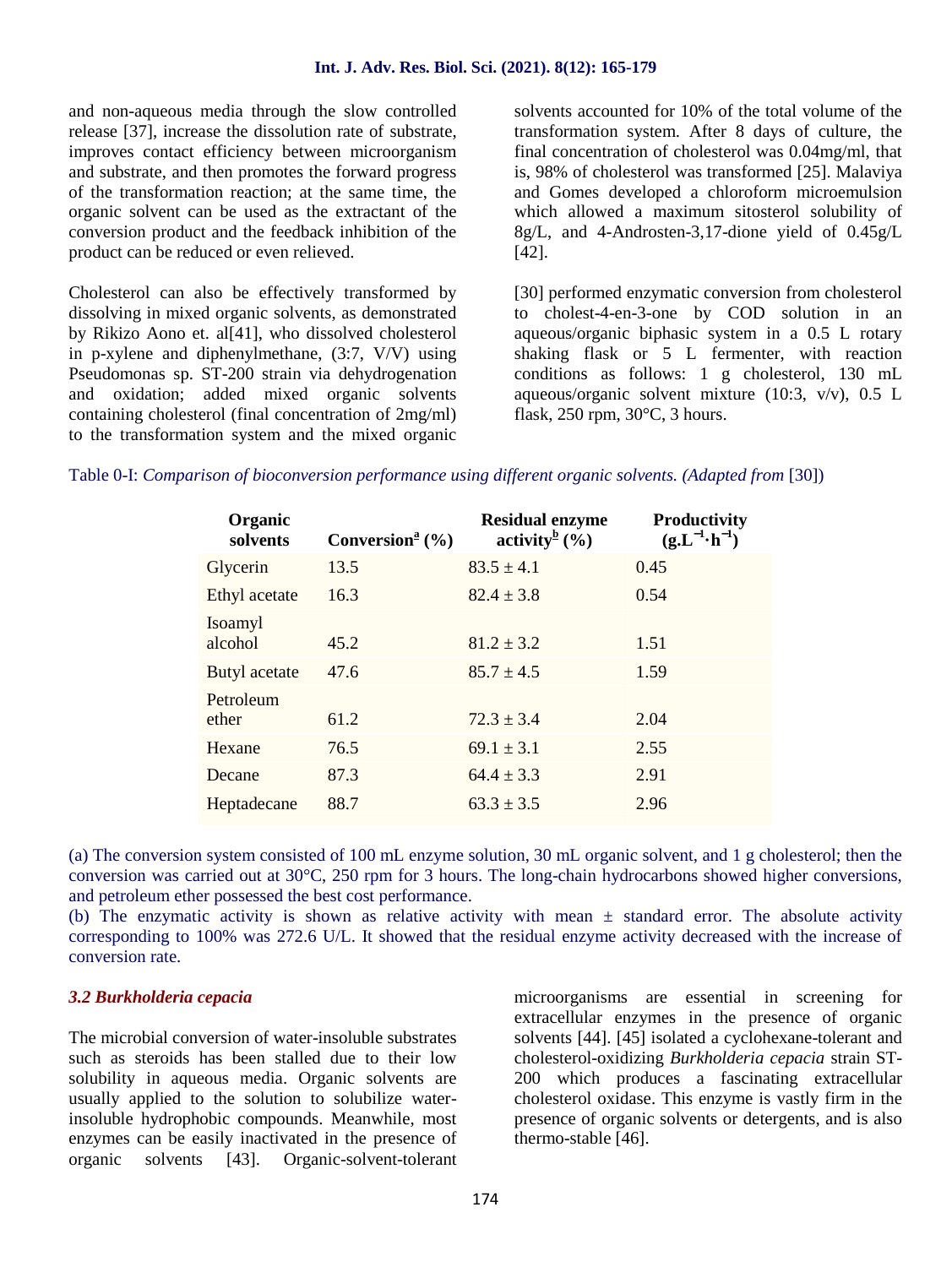#### **Int. J. Adv. Res. Biol. Sci. (2021). 8(12): 165-179**

and non-aqueous media through the slow controlled release [37], increase the dissolution rate of substrate, improves contact efficiency between microorganism and substrate, and then promotes the forward progress of the transformation reaction; at the same time, the organic solvent can be used as the extractant of the conversion product and the feedback inhibition of the product can be reduced or even relieved.

Cholesterol can also be effectively transformed by dissolving in mixed organic solvents, as demonstrated by Rikizo Aono et. al[41], who dissolved cholesterol in p-xylene and diphenylmethane, (3:7, V/V) using Pseudomonas sp. ST-200 strain via dehydrogenation and oxidation; added mixed organic solvents containing cholesterol (final concentration of 2mg/ml) to the transformation system and the mixed organic solvents accounted for 10% of the total volume of the transformation system. After 8 days of culture, the final concentration of cholesterol was 0.04mg/ml, that is, 98% of cholesterol was transformed [25]. Malaviya and Gomes developed a chloroform microemulsion which allowed a maximum sitosterol solubility of 8g/L, and 4-Androsten-3,17-dione yield of 0.45g/L [42].

[30] performed enzymatic conversion from cholesterol to cholest-4-en-3-one by COD solution in an aqueous/organic biphasic system in a 0.5 L rotary shaking flask or 5 L fermenter, with reaction conditions as follows: 1 g cholesterol, 130 mL aqueous/organic solvent mixture (10:3, v/v), 0.5 L flask, 250 rpm, 30°C, 3 hours.

Table 0-I: *Comparison of bioconversion performance using different organic solvents. (Adapted from* [30])

| Organic<br>solvents | Conversion <sup>a</sup> $(\% )$ | <b>Residual enzyme</b><br>activity <sup>b</sup> $(\frac{6}{6})$ | Productivity<br>$(g.L^{-1} \cdot h^{-1})$ |
|---------------------|---------------------------------|-----------------------------------------------------------------|-------------------------------------------|
| Glycerin            | 13.5                            | $83.5 \pm 4.1$                                                  | 0.45                                      |
| Ethyl acetate       | 16.3                            | $82.4 \pm 3.8$                                                  | 0.54                                      |
| Isoamyl<br>alcohol  | 45.2                            | $81.2 \pm 3.2$                                                  | 1.51                                      |
| Butyl acetate       | 47.6                            | $85.7 \pm 4.5$                                                  | 1.59                                      |
| Petroleum<br>ether  | 61.2                            | $72.3 \pm 3.4$                                                  | 2.04                                      |
| Hexane              | 76.5                            | $69.1 \pm 3.1$                                                  | 2.55                                      |
| Decane              | 87.3                            | $64.4 \pm 3.3$                                                  | 2.91                                      |
| Heptadecane         | 88.7                            | $63.3 \pm 3.5$                                                  | 2.96                                      |

(a) The conversion system consisted of 100 mL enzyme solution, 30 mL organic solvent, and 1 g cholesterol; then the conversion was carried out at 30°C, 250 rpm for 3 hours. The long-chain hydrocarbons showed higher conversions, and petroleum ether possessed the best cost performance.

(b) The enzymatic activity is shown as relative activity with mean  $\pm$  standard error. The absolute activity corresponding to 100% was 272.6 U/L. It showed that the residual enzyme activity decreased with the increase of conversion rate.

# *3.2 Burkholderia cepacia*

The microbial conversion of water-insoluble substrates such as steroids has been stalled due to their low solubility in aqueous media. Organic solvents are usually applied to the solution to solubilize waterinsoluble hydrophobic compounds. Meanwhile, most enzymes can be easily inactivated in the presence of organic solvents [43]. Organic-solvent-tolerant microorganisms are essential in screening for extracellular enzymes in the presence of organic solvents [44]. [45] isolated a cyclohexane-tolerant and cholesterol-oxidizing *Burkholderia cepacia* strain ST- 200 which produces a fascinating extracellular cholesterol oxidase. This enzyme is vastly firm in the presence of organic solvents or detergents, and is also thermo-stable [46].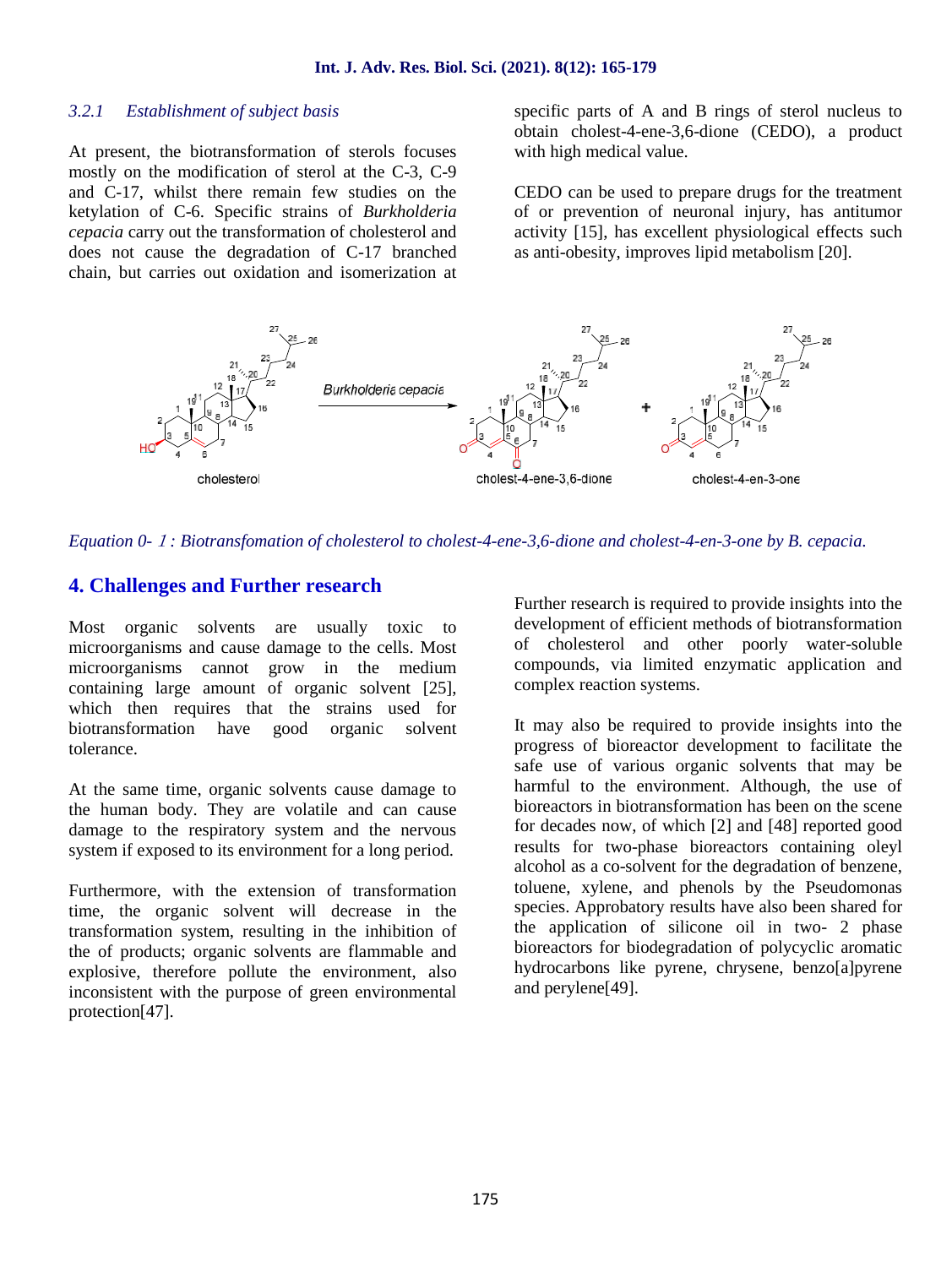### *3.2.1 Establishment of subject basis*

At present, the biotransformation of sterols focuses mostly on the modification of sterol at the C-3, C-9 and C-17, whilst there remain few studies on the ketylation of C-6. Specific strains of *Burkholderia cepacia* carry out the transformation of cholesterol and does not cause the degradation of C-17 branched chain, but carries out oxidation and isomerization at

specific parts of A and B rings of sterol nucleus to obtain cholest-4-ene-3,6-dione (CEDO), a product with high medical value.

CEDO can be used to prepare drugs for the treatment of or prevention of neuronal injury, has antitumor activity [15], has excellent physiological effects such as anti-obesity, improves lipid metabolism [20].



### *Equation 0-1: Biotransfomation of cholesterol to cholest-4-ene-3,6-dione and cholest-4-en-3-one by B. cepacia.*

# **4. Challenges and Further research**

Most organic solvents are usually toxic to microorganisms and cause damage to the cells. Most microorganisms cannot grow in the medium containing large amount of organic solvent [25], which then requires that the strains used for biotransformation have good organic solvent tolerance.

At the same time, organic solvents cause damage to the human body. They are volatile and can cause damage to the respiratory system and the nervous system if exposed to its environment for a long period.

Furthermore, with the extension of transformation time, the organic solvent will decrease in the transformation system, resulting in the inhibition of the of products; organic solvents are flammable and explosive, therefore pollute the environment, also inconsistent with the purpose of green environmental protection[47].

Further research is required to provide insights into the development of efficient methods of biotransformation of cholesterol and other poorly water-soluble compounds, via limited enzymatic application and complex reaction systems.

It may also be required to provide insights into the progress of bioreactor development to facilitate the safe use of various organic solvents that may be harmful to the environment. Although, the use of bioreactors in biotransformation has been on the scene for decades now, of which [2] and [48] reported good results for two-phase bioreactors containing oleyl alcohol as a co-solvent for the degradation of benzene, toluene, xylene, and phenols by the Pseudomonas species. Approbatory results have also been shared for the application of silicone oil in two- 2 phase bioreactors for biodegradation of polycyclic aromatic hydrocarbons like pyrene, chrysene, benzo[a]pyrene and perylene[49].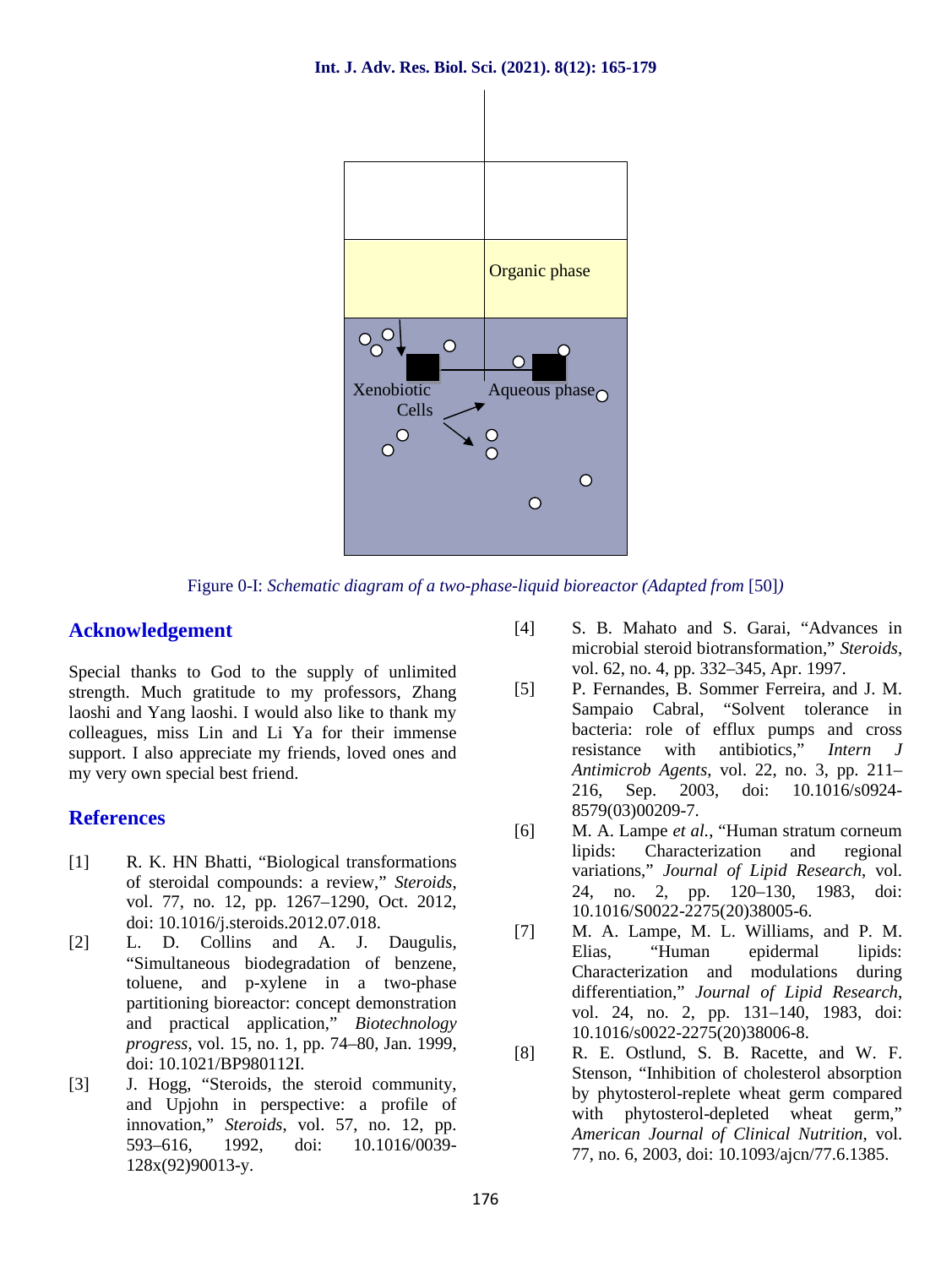

Figure 0-I: *Schematic diagram of a two-phase-liquid bioreactor (Adapted from* [50]*)*

# **Acknowledgement**

Special thanks to God to the supply of unlimited<br>strength Much gratitude to my professors Zhang [5] strength. Much gratitude to my professors, Zhang laoshi and Yang laoshi. I would also like to thank my colleagues, miss Lin and Li Ya for their immense support. I also appreciate my friends, loved ones and my very own special best friend.

# **References**

- [1] R. K. HN Bhatti, "Biological transformations of steroidal compounds: a review," *Steroids*, vol. 77, no. 12, pp. 1267–1290, Oct. 2012, doi: 10.1016/j.steroids.2012.07.018.
- [2] L. D. Collins and A. J. Daugulis, "Simultaneous biodegradation of benzene, toluene, and p-xylene in a two-phase partitioning bioreactor: concept demonstration and practical application," *Biotechnology progress*, vol. 15, no. 1, pp. 74–80, Jan. 1999, doi: 10.1021/BP980112I.
- [3] J. Hogg, "Steroids, the steroid community, and Upjohn in perspective: a profile of innovation," *Steroids*, vol. 57, no. 12, pp. 593–616, 1992, doi: 10.1016/0039- 128x(92)90013-y.
- [4] S. B. Mahato and S. Garai, "Advances in microbial steroid biotransformation," *Steroids*, vol. 62, no. 4, pp. 332–345, Apr. 1997.
- [5] P. Fernandes, B. Sommer Ferreira, and J. M. Sampaio Cabral, "Solvent tolerance in bacteria: role of efflux pumps and cross resistance with antibiotics," *Intern J Antimicrob Agents*, vol. 22, no. 3, pp. 211– 216, Sep. 2003, doi: 10.1016/s0924- 8579(03)00209-7.
- [6] M. A. Lampe *et al.*, "Human stratum corneum lipids: Characterization and regional variations," *Journal of Lipid Research*, vol. 24, no. 2, pp. 120–130, 1983, doi: 10.1016/S0022-2275(20)38005-6.
- [7] M. A. Lampe, M. L. Williams, and P. M.<br>Elias. "Human epidermal lipids: Elias, "Human epidermal lipids: Characterization and modulations during differentiation," *Journal of Lipid Research*, vol. 24, no. 2, pp. 131–140, 1983, doi: 10.1016/s0022-2275(20)38006-8.
- [8] R. E. Ostlund, S. B. Racette, and W. F. Stenson, "Inhibition of cholesterol absorption by phytosterol-replete wheat germ compared with phytosterol-depleted wheat germ," *American Journal of Clinical Nutrition*, vol. 77, no. 6, 2003, doi: 10.1093/ajcn/77.6.1385.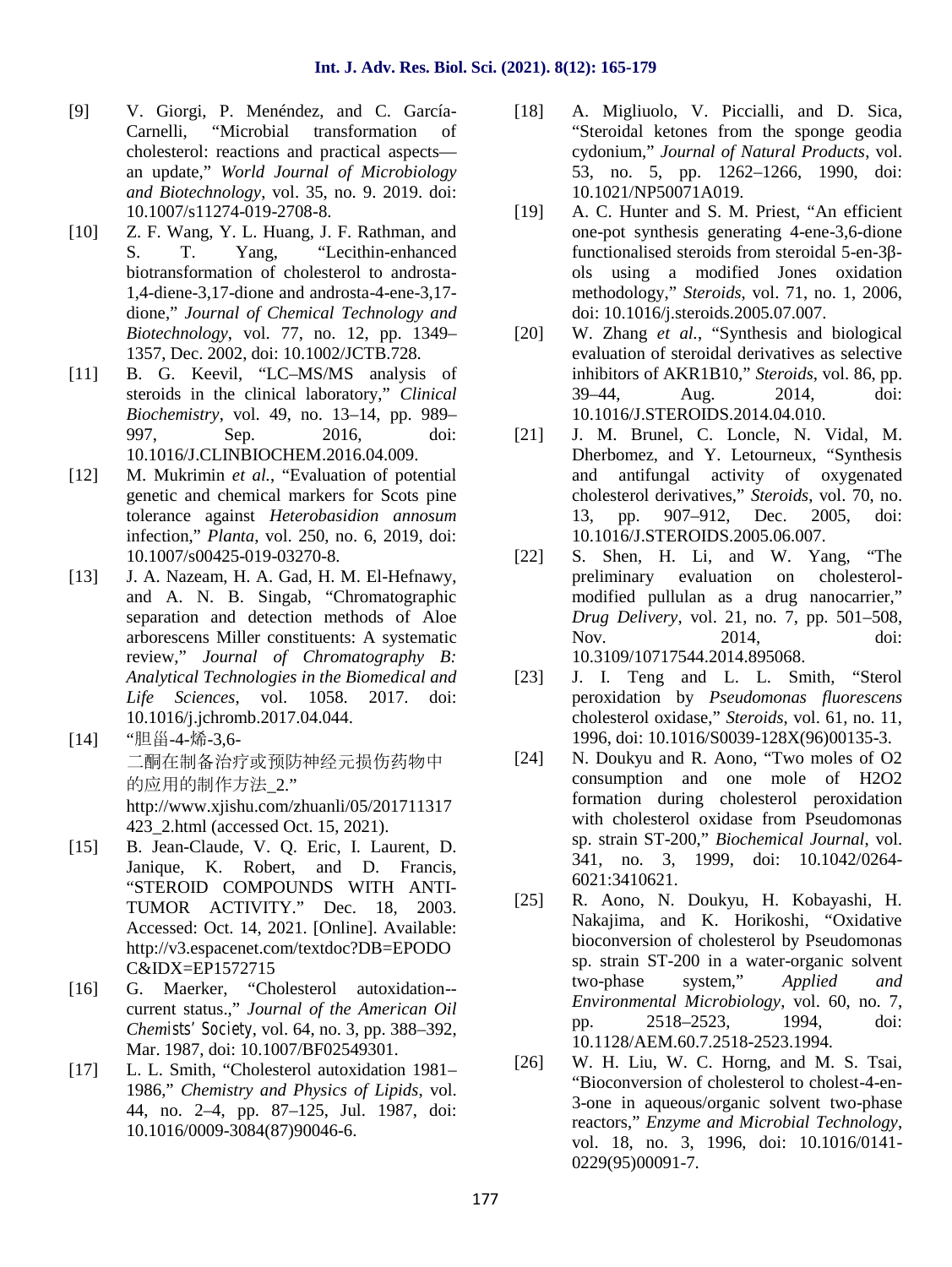- [9] V. Giorgi, P. Menéndez, and C. García- Carnelli, "Microbial transformation of cholesterol: reactions and practical aspects an update," *World Journal of Microbiology and Biotechnology*, vol. 35, no. 9. 2019. doi: 10.1007/s11274-019-2708-8.
- [10] Z. F. Wang, Y. L. Huang, J. F. Rathman, and S. T. Yang, "Lecithin-enhanced biotransformation of cholesterol to androsta- 1,4-diene-3,17-dione and androsta-4-ene-3,17 dione," *Journal of Chemical Technology and Biotechnology*, vol. 77, no. 12, pp. 1349– 1357, Dec. 2002, doi: 10.1002/JCTB.728.
- [11] B. G. Keevil, "LC–MS/MS analysis of steroids in the clinical laboratory," *Clinical Biochemistry*, vol. 49, no. 13–14, pp. 989– 997, Sep. 2016, doi: 10.1016/J.CLINBIOCHEM.2016.04.009.
- [12] M. Mukrimin *et al.*, "Evaluation of potential genetic and chemical markers for Scots pine tolerance against *Heterobasidion annosum* infection," *Planta*, vol. 250, no. 6, 2019, doi: 10.1007/s00425-019-03270-8.
- [13] J. A. Nazeam, H. A. Gad, H. M. El-Hefnawy, and A. N. B. Singab, "Chromatographic separation and detection methods of Aloe arborescens Miller constituents: A systematic review," *Journal of Chromatography B: Analytical Technologies in the Biomedical and Life Sciences*, vol. 1058. 2017. doi: 10.1016/j.jchromb.2017.04.044.
- [14] "胆甾-4-烯-3,6- 二酮在制备治疗或预防神经元损伤药物中 [24] 的应用的制作方法\_2." http://www.xjishu.com/zhuanli/05/201711317 423\_2.html (accessed Oct. 15, 2021).
- [15] B. Jean-Claude, V. Q. Eric, I. Laurent, D. Janique, K. Robert, and D. Francis, "STEROID COMPOUNDS WITH ANTI- TUMOR ACTIVITY." Dec. 18, 2003. Accessed: Oct. 14, 2021. [Online]. Available: http://v3.espacenet.com/textdoc?DB=EPODO C&IDX=EP1572715
- [16] G. Maerker, "Cholesterol autoxidation- current status.," *Journal of the American Oil Chemists' Society*, vol. 64, no. 3, pp. 388–392, Mar. 1987, doi: 10.1007/BF02549301.
- [17] L. L. Smith, "Cholesterol autoxidation 1981– 1986," *Chemistry and Physics of Lipids*, vol. 44, no. 2–4, pp. 87–125, Jul. 1987, doi: 10.1016/0009-3084(87)90046-6.
- [18] A. Migliuolo, V. Piccialli, and D. Sica, "Steroidal ketones from the sponge geodia cydonium," *Journal of Natural Products*, vol. 53, no. 5, pp. 1262–1266, 1990, doi: 10.1021/NP50071A019.
- [19] A. C. Hunter and S. M. Priest, "An efficient one-pot synthesis generating 4-ene-3,6-dione functionalised steroids from steroidal 5-en-3 ols using a modified Jones oxidation methodology," *Steroids*, vol. 71, no. 1, 2006, doi: 10.1016/j.steroids.2005.07.007.
- W. Zhang *et al.*, "Synthesis and biological evaluation of steroidal derivatives as selective inhibitors of AKR1B10," *Steroids*, vol. 86, pp. 39–44, Aug. 2014, doi: 10.1016/J.STEROIDS.2014.04.010.
- [21] J. M. Brunel, C. Loncle, N. Vidal, M. Dherbomez, and Y. Letourneux, "Synthesis and antifungal activity of oxygenated cholesterol derivatives," *Steroids*, vol. 70, no. 13, pp. 907–912, Dec. 2005, doi: 10.1016/J.STEROIDS.2005.06.007.
- [22] S. Shen, H. Li, and W. Yang, "The preliminary evaluation on cholesterol modified pullulan as a drug nanocarrier," *Drug Delivery*, vol. 21, no. 7, pp. 501–508, Nov. 2014, doi: 10.3109/10717544.2014.895068.
- J. I. Teng and L. L. Smith, "Sterol peroxidation by *Pseudomonas fluorescens* cholesterol oxidase," *Steroids*, vol. 61, no. 11, 1996, doi: 10.1016/S0039-128X(96)00135-3.
- N. Doukyu and R. Aono, "Two moles of O2 consumption and one mole of H2O2 formation during cholesterol peroxidation with cholesterol oxidase from Pseudomonas sp. strain ST-200," *Biochemical Journal*, vol. 341, no. 3, 1999, doi: 10.1042/0264- 6021:3410621.
- [25] R. Aono, N. Doukyu, H. Kobayashi, H. Nakajima, and K. Horikoshi, "Oxidative bioconversion of cholesterol by Pseudomonas sp. strain ST-200 in a water-organic solvent two-phase system," *Applied and Environmental Microbiology*, vol. 60, no. 7, pp. 2518–2523, 1994, doi: 10.1128/AEM.60.7.2518-2523.1994.
- W. H. Liu, W. C. Horng, and M. S. Tsai, "Bioconversion of cholesterol to cholest-4-en- 3-one in aqueous/organic solvent two-phase reactors," *Enzyme and Microbial Technology*, vol. 18, no. 3, 1996, doi: 10.1016/0141- 0229(95)00091-7.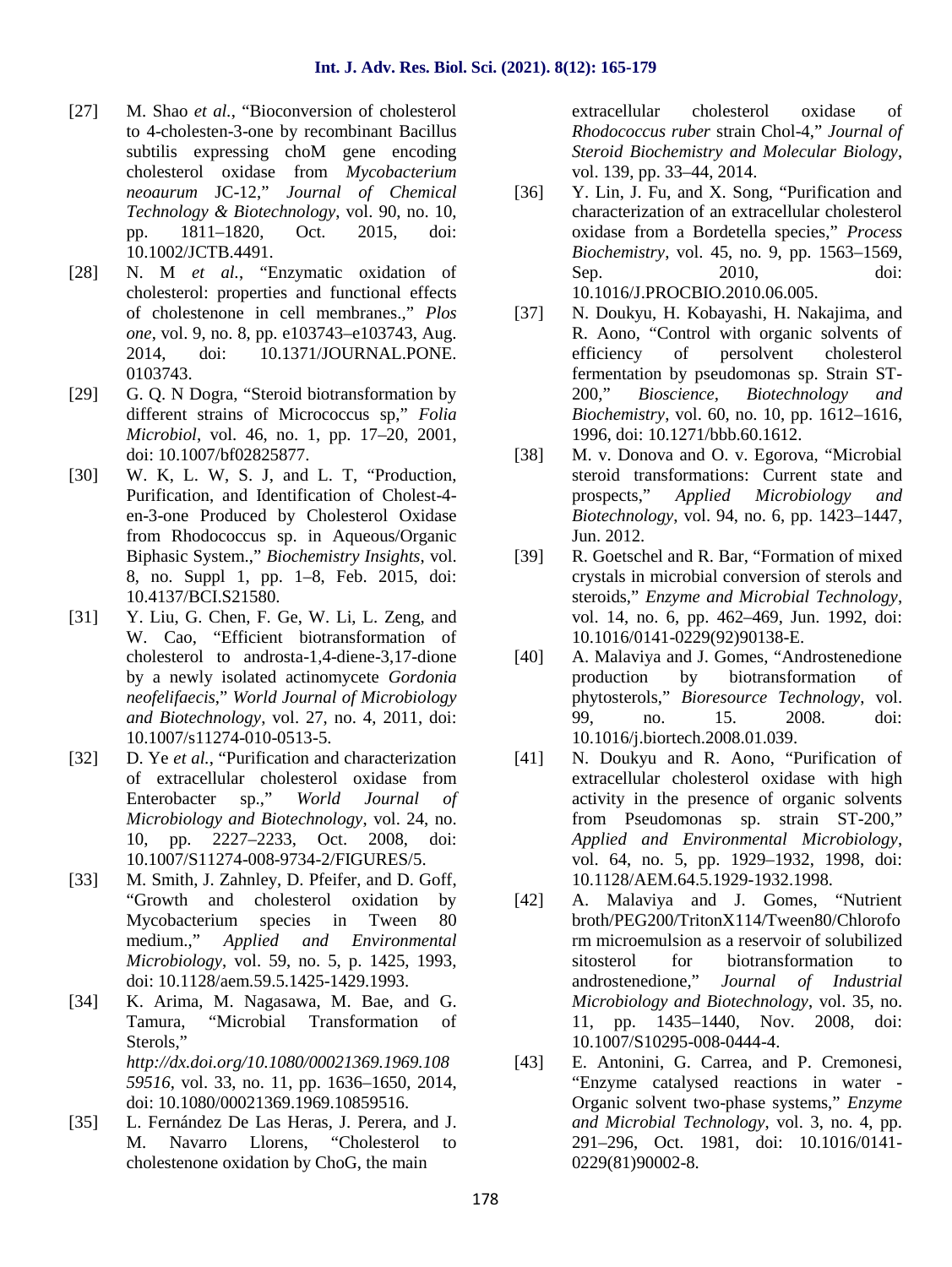- [27] M. Shao *et al.*, "Bioconversion of cholesterol" to 4-cholesten-3-one by recombinant Bacillus subtilis expressing choM gene encoding cholesterol oxidase from *Mycobacterium neoaurum* JC-12," *Journal of Chemical Technology & Biotechnology*, vol. 90, no. 10, pp. 1811–1820, Oct. 2015, doi: 10.1002/JCTB.4491.
- [28] N. M *et al.*, "Enzymatic oxidation of cholesterol: properties and functional effects of cholestenone in cell membranes.," *Plos one*, vol. 9, no. 8, pp. e103743–e103743, Aug. 2014, doi: 10.1371/JOURNAL.PONE. 0103743.
- [29] G. Q. N Dogra, "Steroid biotransformation by different strains of Micrococcus sp," *Folia Microbiol*, vol. 46, no. 1, pp. 17–20, 2001, doi: 10.1007/bf02825877.
- [30] W. K, L. W, S. J, and L. T, "Production, Purification, and Identification of Cholest-4 en-3-one Produced by Cholesterol Oxidase from Rhodococcus sp. in Aqueous/Organic Biphasic System.," *Biochemistry Insights*, vol. 8, no. Suppl 1, pp. 1–8, Feb. 2015, doi: 10.4137/BCI.S21580.
- [31] Y. Liu, G. Chen, F. Ge, W. Li, L. Zeng, and W. Cao, "Efficient biotransformation of cholesterol to androsta-1,4-diene-3,17-dione by a newly isolated actinomycete *Gordonia neofelifaecis*," *World Journal of Microbiology and Biotechnology*, vol. 27, no. 4, 2011, doi: 10.1007/s11274-010-0513-5.
- [32] D. Ye *et al.*, "Purification and characterization of extracellular cholesterol oxidase from Enterobacter sp.," *World Journal of Microbiology and Biotechnology*, vol. 24, no. 10, pp. 2227–2233, Oct. 2008, doi: 10.1007/S11274-008-9734-2/FIGURES/5.
- [33] M. Smith, J. Zahnley, D. Pfeifer, and D. Goff, "Growth and cholesterol oxidation by Mycobacterium species in Tween 80 medium.," *Applied and Environmental Microbiology*, vol. 59, no. 5, p. 1425, 1993, doi: 10.1128/aem.59.5.1425-1429.1993.
- [34] K. Arima, M. Nagasawa, M. Bae, and G. Tamura, "Microbial Transformation of Sterols," *http://dx.doi.org/10.1080/00021369.1969.108 59516*, vol. 33, no. 11, pp. 1636–1650, 2014, doi: 10.1080/00021369.1969.10859516.
- [35] L. Fernández De Las Heras, J. Perera, and J. M. Navarro Llorens, "Cholesterol to cholestenone oxidation by ChoG, the main

extracellular cholesterol oxidase of *Rhodococcus ruber* strain Chol-4," *Journal of Steroid Biochemistry and Molecular Biology*, vol. 139, pp. 33–44, 2014.

- [36] Y. Lin, J. Fu, and X. Song, "Purification and characterization of an extracellular cholesterol oxidase from a Bordetella species," *Process Biochemistry*, vol. 45, no. 9, pp. 1563–1569, Sep. 2010, doi: 10.1016/J.PROCBIO.2010.06.005.
- [37] N. Doukyu, H. Kobayashi, H. Nakajima, and R. Aono, "Control with organic solvents of efficiency of persolvent cholesterol fermentation by pseudomonas sp. Strain ST- 200," *Bioscience, Biotechnology and Biochemistry*, vol. 60, no. 10, pp. 1612–1616, 1996, doi: 10.1271/bbb.60.1612.
- [38] M. v. Donova and O. v. Egorova, "Microbial steroid transformations: Current state and prospects," *Applied Microbiology and Biotechnology*, vol. 94, no. 6, pp. 1423–1447, Jun. 2012.
- [39] R. Goetschel and R. Bar, "Formation of mixed crystals in microbial conversion of sterols and steroids," *Enzyme and Microbial Technology*, vol. 14, no. 6, pp. 462–469, Jun. 1992, doi: 10.1016/0141-0229(92)90138-E.
- A. Malaviya and J. Gomes, "Androstenedione production by biotransformation of phytosterols," *Bioresource Technology*, vol. 99, no. 15. 2008. doi: 10.1016/j.biortech.2008.01.039.
- N. Doukyu and R. Aono, "Purification of extracellular cholesterol oxidase with high activity in the presence of organic solvents from Pseudomonas sp. strain ST-200," *Applied and Environmental Microbiology*, vol. 64, no. 5, pp. 1929–1932, 1998, doi: 10.1128/AEM.64.5.1929-1932.1998.
- [42] A. Malaviya and J. Gomes, "Nutrient broth/PEG200/TritonX114/Tween80/Chlorofo rm microemulsion as a reservoir of solubilized sitosterol for biotransformation to androstenedione," *Journal of Industrial Microbiology and Biotechnology*, vol. 35, no. 11, pp. 1435–1440, Nov. 2008, doi: 10.1007/S10295-008-0444-4.
- E. Antonini, G. Carrea, and P. Cremonesi, "Enzyme catalysed reactions in water - Organic solvent two-phase systems," *Enzyme and Microbial Technology*, vol. 3, no. 4, pp. 291–296, Oct. 1981, doi: 10.1016/0141- 0229(81)90002-8.